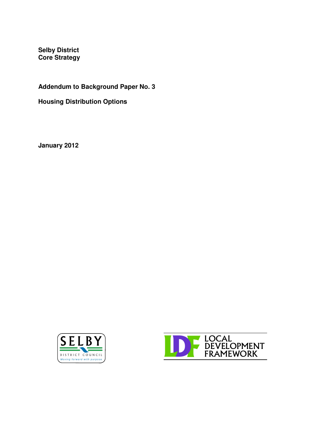**Selby District Core Strategy**

**Addendum to Background Paper No. 3**

**Housing Distribution Options**

**January 2012**



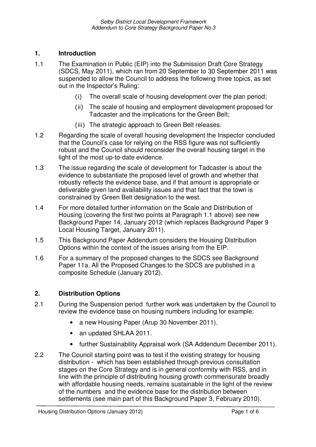# **1. Introduction**

- 1.1 The Examination in Public (EIP) into the Submission Draft Core Strategy (SDCS, May 2011), which ran from 20 September to 30 September 2011 was suspended to allow the Council to address the following three topics, as set out in the Inspector's Ruling:
	- (i) The overall scale of housing development over the plan period;
	- (ii) The scale of housing and employment development proposed for Tadcaster and the implications for the Green Belt;
	- (iii) The strategic approach to Green Belt releases.
- 1.2 Regarding the scale of overall housing development the Inspector concluded that the Council's case for relying on the RSS figure was not sufficiently robust and the Council should reconsider the overall housing target in the light of the most up-to-date evidence.
- 1.3 The issue regarding the scale of development for Tadcaster is about the evidence to substantiate the proposed level of growth and whether that robustly reflects the evidence base, and if that amount is appropriate or deliverable given land availability issues and that fact that the town is constrained by Green Belt designation to the west.
- 1.4 For more detailed further information on the Scale and Distribution of Housing (covering the first two points at Paragraph 1.1 above) see new Background Paper 14, January 2012 (which replaces Background Paper 9 Local Housing Target, January 2011).
- 1.5 This Background Paper Addendum considers the Housing Distribution Options within the context of the issues arising from the EIP.
- 1.6 For a summary of the proposed changes to the SDCS see Background Paper 11a. All the Proposed Changes to the SDCS are published in a composite Schedule (January 2012).

### **2. Distribution Options**

- 2.1 During the Suspension period further work was undertaken by the Council to review the evidence base on housing numbers including for example:
	- a new Housing Paper (Arup 30 November 2011).
	- an updated SHLAA 2011.
	- further Sustainability Appraisal work (SA Addendum December 2011).
- 2.2 The Council starting point was to test if the existing strategy for housing distribution - which has been established through previous consultation stages on the Core Strategy and is in general conformity with RSS, and in line with the principle of distributing housing growth commensurate broadly with affordable housing needs, remains sustainable in the light of the review of the numbers and the evidence base for the distribution between settlements (see main part of this Background Paper 3, February 2010).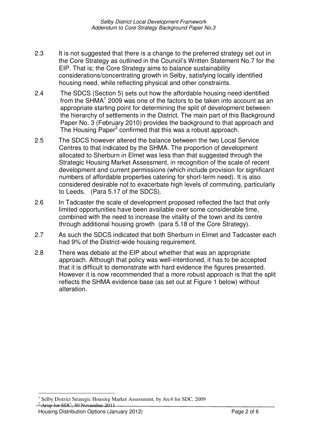- 2.3 It is not suggested that there is a change to the preferred strategy set out in the Core Strategy as outlined in the Council's Written Statement No.7 for the EIP. That is; the Core Strategy aims to balance sustainability considerations/concentrating growth in Selby, satisfying locally identified housing need, while reflecting physical and other constraints.
- 2.4 The SDCS (Section 5) sets out how the affordable housing need identified from the SHMA<sup>1</sup> 2009 was one of the factors to be taken into account as an appropriate starting point for determining the split of development between the hierarchy of settlements in the District. The main part of this Background Paper No. 3 (February 2010) provides the background to that approach and The Housing Paper<sup>2</sup> confirmed that this was a robust approach.
- 2.5 The SDCS however altered the balance between the two Local Service Centres to that indicated by the SHMA. The proportion of development allocated to Sherburn in Elmet was less than that suggested through the Strategic Housing Market Assessment, in recognition of the scale of recent development and current permissions (which include provision for significant numbers of affordable properties catering for short-term need). It is also considered desirable not to exacerbate high levels of commuting, particularly to Leeds. (Para 5.17 of the SDCS).
- 2.6 In Tadcaster the scale of development proposed reflected the fact that only limited opportunities have been available over some considerable time, combined with the need to increase the vitality of the town and its centre through additional housing growth (para 5.18 of the Core Strategy).
- 2.7 As such the SDCS indicated that both Sherburn in Elmet and Tadcaster each had 9% of the District-wide housing requirement.
- 2.8 There was debate at the EIP about whether that was an appropriate approach. Although that policy was well-intentioned, it has to be accepted that it is difficult to demonstrate with hard evidence the figures presented. However it is now recommended that a more robust approach is that the split reflects the SHMA evidence base (as set out at Figure 1 below) without alteration.

<sup>1</sup> Selby District Strategic Housing Market Assessment, by Arc4 for SDC, 2009

 $2$  Arup for SDC, 30 November 2011

Housing Distribution Options (January 2012) Page 2 of 6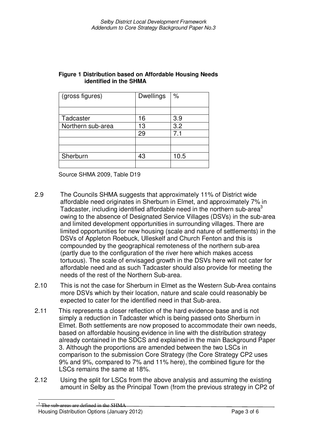| (gross figures)   | <b>Dwellings</b> | $\%$ |
|-------------------|------------------|------|
|                   |                  |      |
|                   |                  |      |
| Tadcaster         | 16               | 3.9  |
| Northern sub-area | 13               | 3.2  |
|                   | 29               | 7.1  |
|                   |                  |      |
|                   |                  |      |
| Sherburn          | 43               | 10.5 |
|                   |                  |      |

#### **Figure 1 Distribution based on Affordable Housing Needs identified in the SHMA**

Source SHMA 2009, Table D19

- 2.9 The Councils SHMA suggests that approximately 11% of District wide affordable need originates in Sherburn in Elmet, and approximately 7% in Tadcaster, including identified affordable need in the northern sub-area<sup>3</sup> owing to the absence of Designated Service Villages (DSVs) in the sub-area and limited development opportunities in surrounding villages. There are limited opportunities for new housing (scale and nature of settlements) in the DSVs of Appleton Roebuck, Ulleskelf and Church Fenton and this is compounded by the geographical remoteness of the northern sub-area (partly due to the configuration of the river here which makes access tortuous). The scale of envisaged growth in the DSVs here will not cater for affordable need and as such Tadcaster should also provide for meeting the needs of the rest of the Northern Sub-area.
- 2.10 This is not the case for Sherburn in Elmet as the Western Sub-Area contains more DSVs which by their location, nature and scale could reasonably be expected to cater for the identified need in that Sub-area.
- 2.11 This represents a closer reflection of the hard evidence base and is not simply a reduction in Tadcaster which is being passed onto Sherburn in Elmet. Both settlements are now proposed to accommodate their own needs, based on affordable housing evidence in line with the distribution strategy already contained in the SDCS and explained in the main Background Paper 3. Although the proportions are amended between the two LSCs in comparison to the submission Core Strategy (the Core Strategy CP2 uses 9% and 9%, compared to 7% and 11% here), the combined figure for the LSCs remains the same at 18%.
- 2.12 Using the split for LSCs from the above analysis and assuming the existing amount in Selby as the Principal Town (from the previous strategy in CP2 of

 $3 \text{ The sub-areas are defined in the SHMA}$ 

Housing Distribution Options (January 2012) Page 3 of 6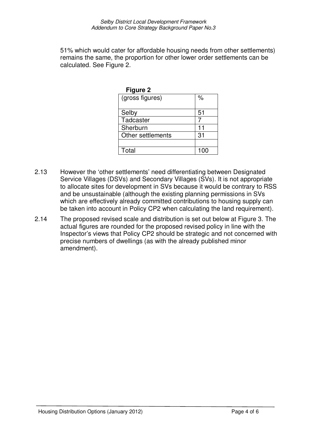51% which would cater for affordable housing needs from other settlements) remains the same, the proportion for other lower order settlements can be calculated. See Figure 2.

| <b>Figure 2</b>                |     |
|--------------------------------|-----|
| $\overline{q}$ (gross figures) | %   |
| Selby                          | 51  |
| Tadcaster                      |     |
| Sherburn                       | 11  |
| Other settlements              | 31  |
|                                |     |
| Total                          | 100 |

- 2.13 However the 'other settlements' need differentiating between Designated Service Villages (DSVs) and Secondary Villages (SVs). It is not appropriate to allocate sites for development in SVs because it would be contrary to RSS and be unsustainable (although the existing planning permissions in SVs which are effectively already committed contributions to housing supply can be taken into account in Policy CP2 when calculating the land requirement).
- 2.14 The proposed revised scale and distribution is set out below at Figure 3. The actual figures are rounded for the proposed revised policy in line with the Inspector's views that Policy CP2 should be strategic and not concerned with precise numbers of dwellings (as with the already published minor amendment).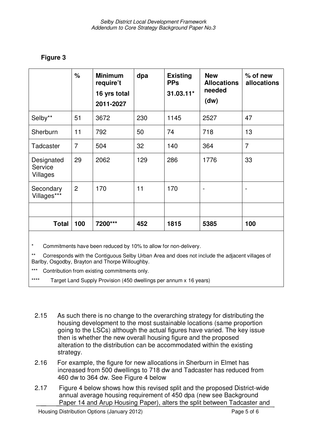# **Figure 3**

|                                   | %              | <b>Minimum</b><br>require't<br>16 yrs total<br>2011-2027 | dpa | <b>Existing</b><br><b>PPs</b><br>$31.03.11*$ | <b>New</b><br><b>Allocations</b><br>needed<br>(dw) | $%$ of new<br>allocations |
|-----------------------------------|----------------|----------------------------------------------------------|-----|----------------------------------------------|----------------------------------------------------|---------------------------|
| Selby**                           | 51             | 3672                                                     | 230 | 1145                                         | 2527                                               | 47                        |
| Sherburn                          | 11             | 792                                                      | 50  | 74                                           | 718                                                | 13                        |
| Tadcaster                         | $\overline{7}$ | 504                                                      | 32  | 140                                          | 364                                                | $\overline{7}$            |
| Designated<br>Service<br>Villages | 29             | 2062                                                     | 129 | 286                                          | 1776                                               | 33                        |
| Secondary<br>Villages***          | $\overline{2}$ | 170                                                      | 11  | 170                                          |                                                    |                           |
|                                   |                |                                                          |     |                                              |                                                    |                           |
| <b>Total</b>                      | 100            | 7200***                                                  | 452 | 1815                                         | 5385                                               | 100                       |

\* Commitments have been reduced by 10% to allow for non-delivery.

Corresponds with the Contiguous Selby Urban Area and does not include the adjacent villages of Barlby, Osgodby, Brayton and Thorpe Willoughby.

\*\*\* Contribution from existing commitments only.

\*\*\*\* Target Land Supply Provision (450 dwellings per annum x 16 years)

- 2.15 As such there is no change to the overarching strategy for distributing the housing development to the most sustainable locations (same proportion going to the LSCs) although the actual figures have varied. The key issue then is whether the new overall housing figure and the proposed alteration to the distribution can be accommodated within the existing strategy.
- 2.16 For example, the figure for new allocations in Sherburn in Elmet has increased from 500 dwellings to 718 dw and Tadcaster has reduced from 460 dw to 364 dw. See Figure 4 below
- 2.17 Figure 4 below shows how this revised split and the proposed District-wide annual average housing requirement of 450 dpa (new see Background Paper 14 and Arup Housing Paper), alters the split between Tadcaster and